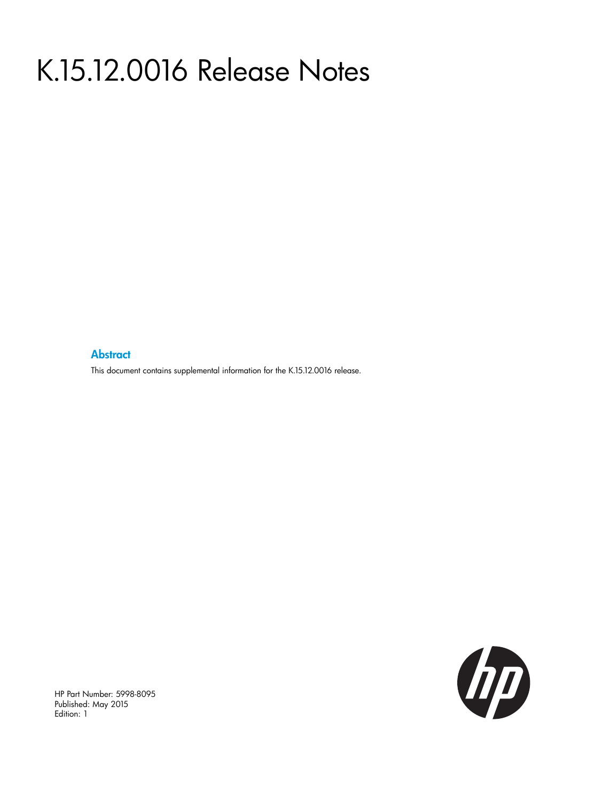# K.15.12.0016 Release Notes

#### **Abstract**

This document contains supplemental information for the K.15.12.0016 release.



HP Part Number: 5998-8095 Published: May 2015 Edition: 1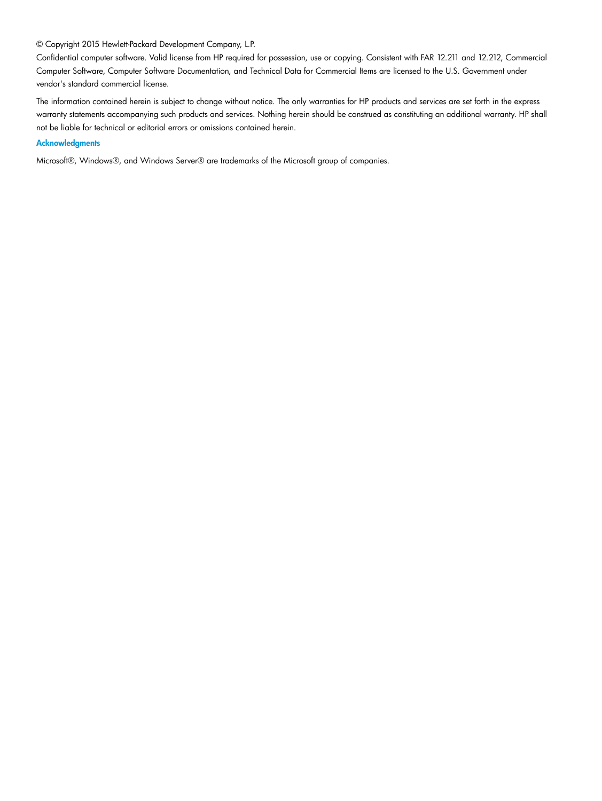#### © Copyright 2015 Hewlett-Packard Development Company, L.P.

Confidential computer software. Valid license from HP required for possession, use or copying. Consistent with FAR 12.211 and 12.212, Commercial Computer Software, Computer Software Documentation, and Technical Data for Commercial Items are licensed to the U.S. Government under vendor's standard commercial license.

The information contained herein is subject to change without notice. The only warranties for HP products and services are set forth in the express warranty statements accompanying such products and services. Nothing herein should be construed as constituting an additional warranty. HP shall not be liable for technical or editorial errors or omissions contained herein.

#### **Acknowledgments**

Microsoft®, Windows®, and Windows Server® are trademarks of the Microsoft group of companies.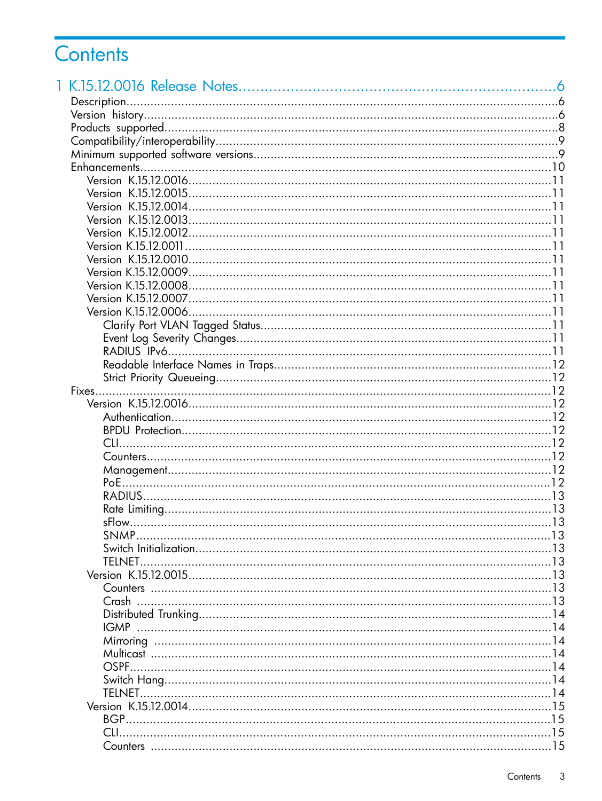## Contents

|        | .6 |
|--------|----|
|        |    |
|        |    |
|        |    |
|        |    |
|        |    |
|        |    |
|        |    |
|        |    |
|        |    |
|        |    |
|        |    |
|        |    |
|        |    |
|        |    |
|        |    |
|        |    |
|        |    |
|        |    |
|        |    |
|        |    |
|        |    |
|        |    |
|        |    |
|        |    |
|        |    |
|        |    |
|        |    |
|        |    |
|        |    |
|        |    |
|        |    |
|        |    |
|        |    |
|        |    |
|        |    |
| SNMP   |    |
|        |    |
| TELNET |    |
|        |    |
|        |    |
|        |    |
|        |    |
|        |    |
|        |    |
|        |    |
|        |    |
|        |    |
|        |    |
|        |    |
|        |    |
|        |    |
|        |    |
|        |    |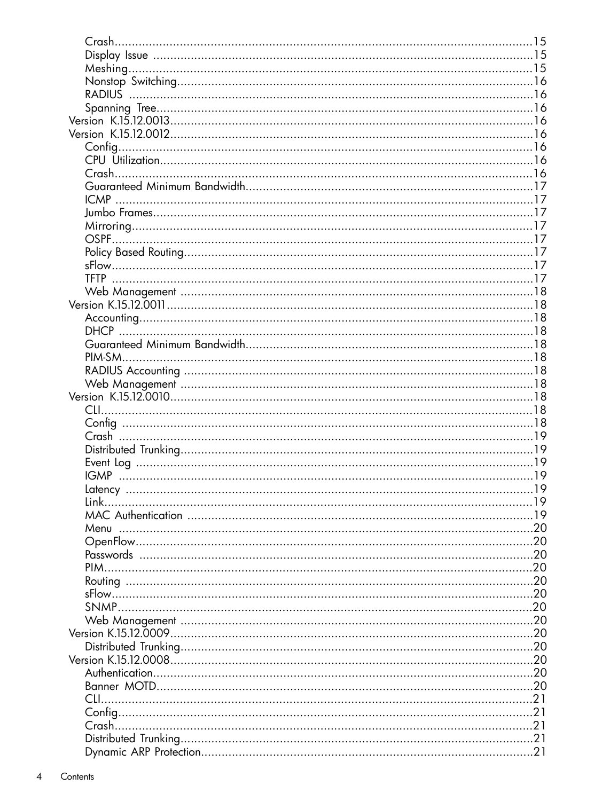|     | .15  |
|-----|------|
|     |      |
|     |      |
|     |      |
|     |      |
|     |      |
|     |      |
|     |      |
|     |      |
|     |      |
|     |      |
|     |      |
|     |      |
|     |      |
|     |      |
|     |      |
|     |      |
|     |      |
|     |      |
|     |      |
|     |      |
|     |      |
|     |      |
|     |      |
|     |      |
|     |      |
|     |      |
|     |      |
|     |      |
|     |      |
|     |      |
|     |      |
|     |      |
|     |      |
|     |      |
|     |      |
|     |      |
|     |      |
|     |      |
|     | . 20 |
|     | . 20 |
|     |      |
|     |      |
|     |      |
|     |      |
|     |      |
|     |      |
|     |      |
|     |      |
|     |      |
|     |      |
| CH. | . 21 |
|     | .21  |
|     |      |
|     |      |
|     |      |
|     |      |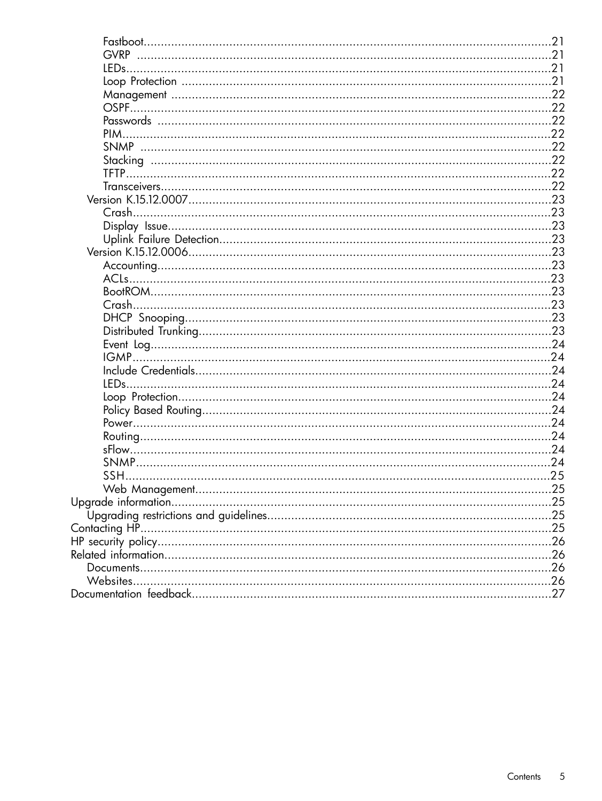|           | .21 |
|-----------|-----|
|           |     |
|           |     |
|           |     |
|           |     |
|           |     |
|           |     |
|           |     |
|           |     |
|           |     |
|           |     |
|           |     |
|           |     |
|           |     |
|           |     |
|           |     |
|           |     |
|           |     |
|           |     |
|           |     |
|           |     |
| Crash     |     |
|           |     |
|           |     |
|           |     |
|           |     |
|           |     |
|           |     |
|           |     |
|           |     |
|           |     |
|           |     |
|           |     |
|           |     |
|           |     |
|           |     |
|           |     |
|           |     |
|           |     |
|           |     |
|           |     |
|           |     |
| Websites. |     |
|           |     |
|           |     |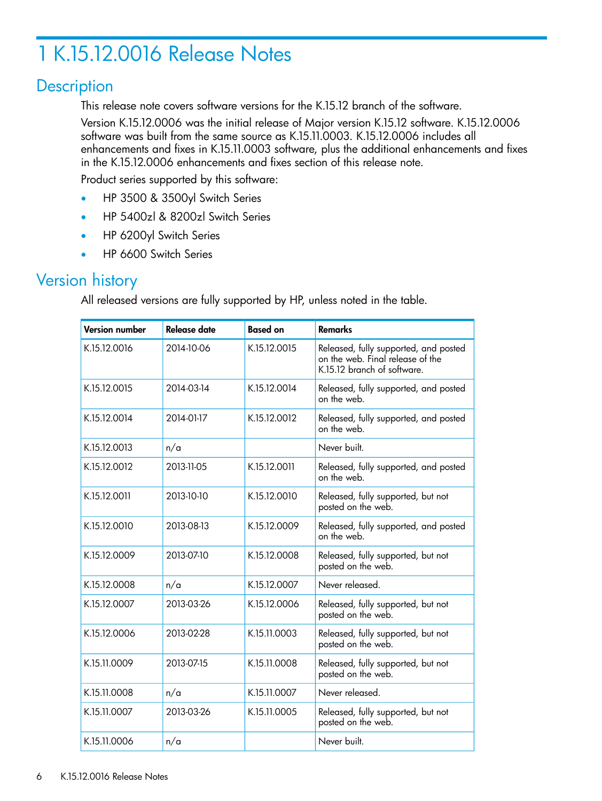## <span id="page-5-0"></span>1 K.15.12.0016 Release Notes

## **Description**

<span id="page-5-1"></span>This release note covers software versions for the K.15.12 branch of the software.

Version K.15.12.0006 was the initial release of Major version K.15.12 software. K.15.12.0006 software was built from the same source as K.15.11.0003. K.15.12.0006 includes all enhancements and fixes in K.15.11.0003 software, plus the additional enhancements and fixes in the K.15.12.0006 enhancements and fixes section of this release note.

Product series supported by this software:

- HP 3500 & 3500yl Switch Series
- HP 5400zl & 8200zl Switch Series
- <span id="page-5-2"></span>• HP 6200yl Switch Series
- HP 6600 Switch Series

## Version history

All released versions are fully supported by HP, unless noted in the table.

| <b>Version number</b> | Release date | <b>Based on</b> | <b>Remarks</b>                                                                                           |
|-----------------------|--------------|-----------------|----------------------------------------------------------------------------------------------------------|
| K.15.12.0016          | 2014-10-06   | K.15.12.0015    | Released, fully supported, and posted<br>on the web. Final release of the<br>K.15.12 branch of software. |
| K.15.12.0015          | 2014-03-14   | K.15.12.0014    | Released, fully supported, and posted<br>on the web.                                                     |
| K.15.12.0014          | 2014-01-17   | K.15.12.0012    | Released, fully supported, and posted<br>on the web.                                                     |
| K.15.12.0013          | n/a          |                 | Never built.                                                                                             |
| K.15.12.0012          | 2013-11-05   | K.15.12.0011    | Released, fully supported, and posted<br>on the web.                                                     |
| K.15.12.0011          | 2013-10-10   | K.15.12.0010    | Released, fully supported, but not<br>posted on the web.                                                 |
| K.15.12.0010          | 2013-08-13   | K.15.12.0009    | Released, fully supported, and posted<br>on the web.                                                     |
| K.15.12.0009          | 2013-07-10   | K.15.12.0008    | Released, fully supported, but not<br>posted on the web.                                                 |
| K.15.12.0008          | n/a          | K.15.12.0007    | Never released.                                                                                          |
| K.15.12.0007          | 2013-03-26   | K.15.12.0006    | Released, fully supported, but not<br>posted on the web.                                                 |
| K.15.12.0006          | 2013-02-28   | K.15.11.0003    | Released, fully supported, but not<br>posted on the web.                                                 |
| K.15.11.0009          | 2013-07-15   | K.15.11.0008    | Released, fully supported, but not<br>posted on the web.                                                 |
| K.15.11.0008          | n/a          | K.15.11.0007    | Never released.                                                                                          |
| K.15.11.0007          | 2013-03-26   | K.15.11.0005    | Released, fully supported, but not<br>posted on the web.                                                 |
| K.15.11.0006          | n/a          |                 | Never built.                                                                                             |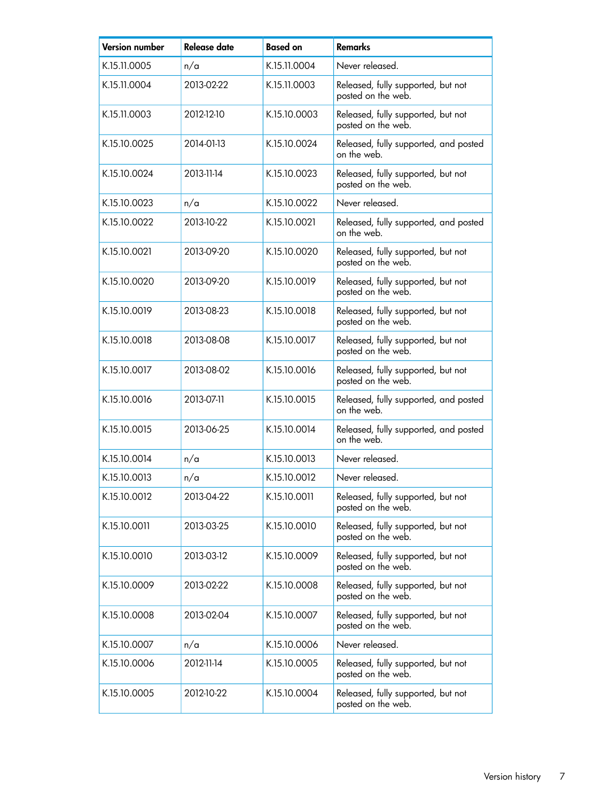| <b>Version number</b> | <b>Release date</b> | <b>Based on</b> | <b>Remarks</b>                                           |
|-----------------------|---------------------|-----------------|----------------------------------------------------------|
| K.15.11.0005          | n/a                 | K.15.11.0004    | Never released.                                          |
| K.15.11.0004          | 2013-02-22          | K.15.11.0003    | Released, fully supported, but not<br>posted on the web. |
| K.15.11.0003          | 2012-12-10          | K.15.10.0003    | Released, fully supported, but not<br>posted on the web. |
| K.15.10.0025          | 2014-01-13          | K.15.10.0024    | Released, fully supported, and posted<br>on the web.     |
| K.15.10.0024          | 2013-11-14          | K.15.10.0023    | Released, fully supported, but not<br>posted on the web. |
| K.15.10.0023          | n/a                 | K.15.10.0022    | Never released.                                          |
| K.15.10.0022          | 2013-10-22          | K.15.10.0021    | Released, fully supported, and posted<br>on the web.     |
| K.15.10.0021          | 2013-09-20          | K.15.10.0020    | Released, fully supported, but not<br>posted on the web. |
| K.15.10.0020          | 2013-09-20          | K.15.10.0019    | Released, fully supported, but not<br>posted on the web. |
| K.15.10.0019          | 2013-08-23          | K.15.10.0018    | Released, fully supported, but not<br>posted on the web. |
| K.15.10.0018          | 2013-08-08          | K.15.10.0017    | Released, fully supported, but not<br>posted on the web. |
| K.15.10.0017          | 2013-08-02          | K.15.10.0016    | Released, fully supported, but not<br>posted on the web. |
| K.15.10.0016          | 2013-07-11          | K.15.10.0015    | Released, fully supported, and posted<br>on the web.     |
| K.15.10.0015          | 2013-06-25          | K.15.10.0014    | Released, fully supported, and posted<br>on the web.     |
| K.15.10.0014          | n/a                 | K.15.10.0013    | Never released.                                          |
| K.15.10.0013          | n/a                 | K.15.10.0012    | Never released.                                          |
| K.15.10.0012          | 2013-04-22          | K.15.10.0011    | Released, fully supported, but not<br>posted on the web. |
| K.15.10.0011          | 2013-03-25          | K.15.10.0010    | Released, fully supported, but not<br>posted on the web. |
| K.15.10.0010          | 2013-03-12          | K.15.10.0009    | Released, fully supported, but not<br>posted on the web. |
| K.15.10.0009          | 2013-02-22          | K.15.10.0008    | Released, fully supported, but not<br>posted on the web. |
| K.15.10.0008          | 2013-02-04          | K.15.10.0007    | Released, fully supported, but not<br>posted on the web. |
| K.15.10.0007          | n/a                 | K.15.10.0006    | Never released.                                          |
| K.15.10.0006          | 2012-11-14          | K.15.10.0005    | Released, fully supported, but not<br>posted on the web. |
| K.15.10.0005          | 2012-10-22          | K.15.10.0004    | Released, fully supported, but not<br>posted on the web. |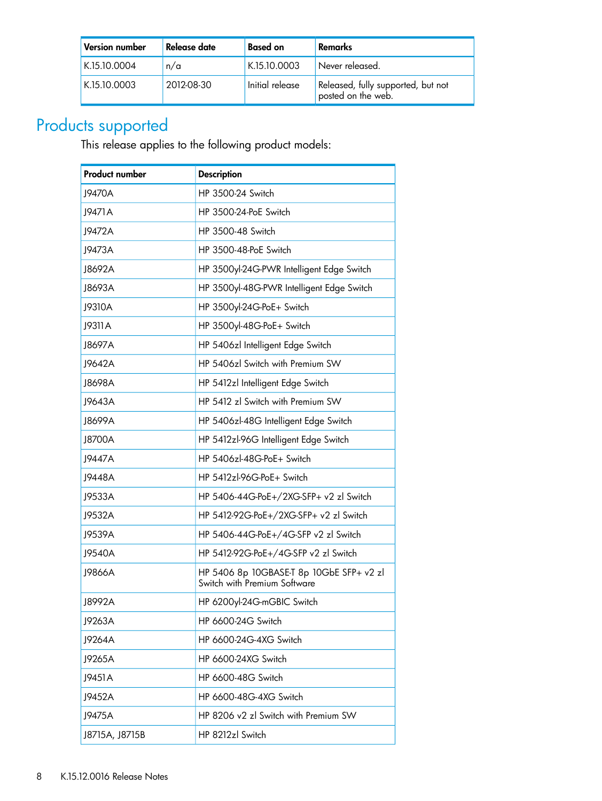| <b>Version number</b> | Release date | <b>Based on</b> | Remarks                                                  |
|-----------------------|--------------|-----------------|----------------------------------------------------------|
| K.15.10.0004          | n/a          | K.15.10.0003    | Never released.                                          |
| K.15.10.0003          | 2012-08-30   | Initial release | Released, fully supported, but not<br>posted on the web. |

## Products supported

<span id="page-7-0"></span>This release applies to the following product models:

| <b>Product number</b> | <b>Description</b>                                                       |  |
|-----------------------|--------------------------------------------------------------------------|--|
| J9470A                | HP 3500-24 Switch                                                        |  |
| J9471A                | HP 3500-24-PoE Switch                                                    |  |
| J9472A                | HP 3500-48 Switch                                                        |  |
| J9473A                | HP 3500-48-PoE Switch                                                    |  |
| J8692A                | HP 3500yl-24G-PWR Intelligent Edge Switch                                |  |
| J8693A                | HP 3500yl-48G-PWR Intelligent Edge Switch                                |  |
| J9310A                | HP 3500yl-24G-PoE+ Switch                                                |  |
| J9311 A               | HP 3500yl-48G-PoE+ Switch                                                |  |
| J8697A                | HP 5406zl Intelligent Edge Switch                                        |  |
| J9642A                | HP 5406zl Switch with Premium SW                                         |  |
| J8698A                | HP 5412zl Intelligent Edge Switch                                        |  |
| J9643A                | HP 5412 zl Switch with Premium SW                                        |  |
| J8699A                | HP 5406zl-48G Intelligent Edge Switch                                    |  |
| J8700A                | HP 5412zl-96G Intelligent Edge Switch                                    |  |
| J9447A                | HP 5406zl-48G-PoE+ Switch                                                |  |
| J9448A                | HP 5412zl-96G-PoE+ Switch                                                |  |
| J9533A                | HP 5406-44G-PoE+/2XG-SFP+ v2 zl Switch                                   |  |
| J9532A                | HP 5412-92G-PoE+/2XG-SFP+ v2 zl Switch                                   |  |
| J9539A                | HP 5406-44G-PoE+/4G-SFP v2 zl Switch                                     |  |
| J9540A                | HP 5412-92G-PoE+/4G-SFP v2 zl Switch                                     |  |
| J9866A                | HP 5406 8p 10GBASE-T 8p 10GbE SFP+ v2 zl<br>Switch with Premium Software |  |
| J8992A                | HP 6200yl-24G-mGBIC Switch                                               |  |
| J9263A                | HP 6600-24G Switch                                                       |  |
| J9264A                | HP 6600-24G-4XG Switch                                                   |  |
| J9265A                | HP 6600-24XG Switch                                                      |  |
| J9451A                | HP 6600-48G Switch                                                       |  |
| J9452A                | HP 6600-48G-4XG Switch                                                   |  |
| J9475A                | HP 8206 v2 zl Switch with Premium SW                                     |  |
| J8715A, J8715B        | HP 8212zl Switch                                                         |  |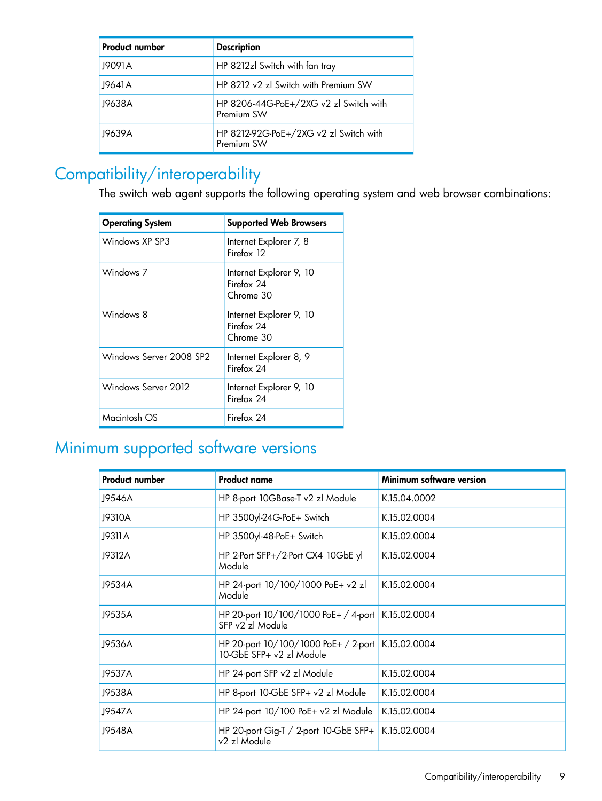| <b>Product number</b> | <b>Description</b>                                   |
|-----------------------|------------------------------------------------------|
| J9091A                | HP 8212zl Switch with fan tray                       |
| J9641 A               | HP 8212 v2 zl Switch with Premium SW                 |
| J9638A                | HP 8206-44G-PoE+/2XG v2 zl Switch with<br>Premium SW |
| J9639A                | HP 8212-92G-PoE+/2XG v2 zl Switch with<br>Premium SW |

## Compatibility/interoperability

<span id="page-8-0"></span>The switch web agent supports the following operating system and web browser combinations:

| <b>Operating System</b> | <b>Supported Web Browsers</b>                      |
|-------------------------|----------------------------------------------------|
| Windows XP SP3          | Internet Explorer 7, 8<br>Firefox 12               |
| Windows 7               | Internet Explorer 9, 10<br>Firefox 24<br>Chrome 30 |
| Windows 8               | Internet Explorer 9, 10<br>Firefox 24<br>Chrome 30 |
| Windows Server 2008 SP2 | Internet Explorer 8, 9<br>Firefox 24               |
| Windows Server 2012     | Internet Explorer 9, 10<br>Firefox 24              |
| Macintosh OS            | Firefox 24                                         |

## <span id="page-8-1"></span>Minimum supported software versions

| <b>Product number</b>                                                         | <b>Product name</b>                                        | Minimum software version |
|-------------------------------------------------------------------------------|------------------------------------------------------------|--------------------------|
| J9546A                                                                        | HP 8-port 10GBase-T v2 zl Module                           | K.15.04.0002             |
| J9310A                                                                        | HP 3500yl-24G-PoE+ Switch                                  | K.15.02.0004             |
| J9311 A                                                                       | HP 3500yl-48-PoE+ Switch                                   | K.15.02.0004             |
| J9312A                                                                        | HP 2-Port SFP+/2-Port CX4 10GbE yl<br>Module               | K.15.02.0004             |
| J9534A                                                                        | HP 24-port 10/100/1000 PoE+ v2 zl<br>Module                | K.15.02.0004             |
| J9535A                                                                        | HP 20-port 10/100/1000 PoE+ / 4-port  <br>SFP v2 zl Module | K.15.02.0004             |
| J9536A<br>HP 20-port 10/100/1000 PoE+ / 2-port<br>$10-GbF$ SFP+ $v2zI$ Module |                                                            | K.15.02.0004             |
| J9537A                                                                        | HP 24-port SFP v2 zl Module                                | K.15.02.0004             |
| J9538A                                                                        | HP 8-port 10-GbE SFP+ v2 zl Module                         | K.15.02.0004             |
| J9547A                                                                        | HP 24-port 10/100 PoE+ v2 zl Module                        | K.15.02.0004             |
| J9548A                                                                        | HP 20-port Gig-T / 2-port 10-GbE SFP+<br>v2 zl Module      | K.15.02.0004             |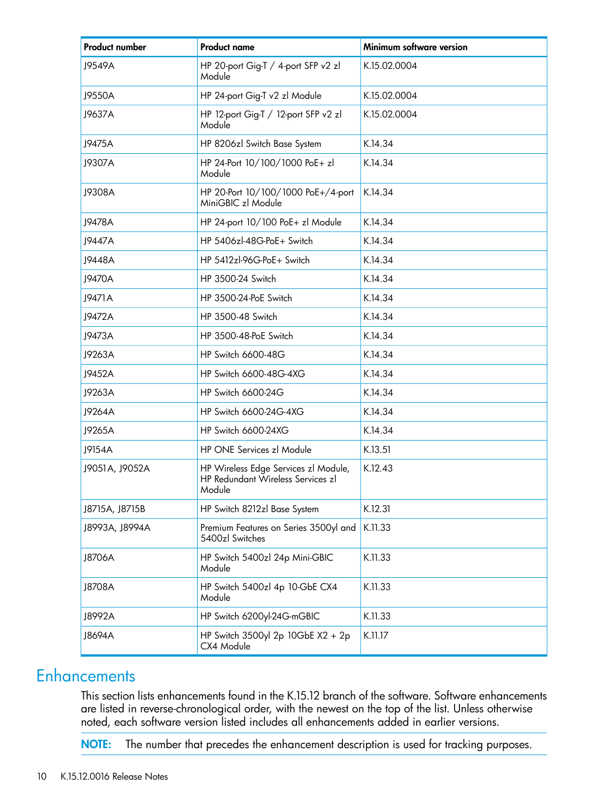| <b>Product number</b>                                    | <b>Product name</b>                                                                 | Minimum software version |
|----------------------------------------------------------|-------------------------------------------------------------------------------------|--------------------------|
| J9549A                                                   | HP 20-port Gig-T / 4-port SFP v2 zl<br>Module                                       | K.15.02.0004             |
| J9550A                                                   | HP 24-port Gig-T v2 zl Module                                                       | K.15.02.0004             |
| J9637A<br>HP 12-port Gig-T / 12-port SFP v2 zl<br>Module |                                                                                     | K.15.02.0004             |
| 19475A                                                   | HP 8206zl Switch Base System                                                        | K.14.34                  |
| J9307A                                                   | HP 24-Port 10/100/1000 PoE+ zl<br>Module                                            | K.14.34                  |
| J9308A                                                   | HP 20-Port 10/100/1000 PoE+/4-port<br>MiniGBIC zl Module                            | K.14.34                  |
| J9478A                                                   | HP 24-port 10/100 PoE+ zl Module                                                    | K.14.34                  |
| J9447A                                                   | HP 5406zl-48G-PoE+ Switch                                                           | K.14.34                  |
| J9448A                                                   | HP 5412zl-96G-PoE+ Switch                                                           | K.14.34                  |
| J9470A                                                   | HP 3500-24 Switch                                                                   | K.14.34                  |
| J9471A                                                   | HP 3500-24-PoE Switch                                                               | K.14.34                  |
| J9472A                                                   | HP 3500-48 Switch                                                                   | K.14.34                  |
| J9473A<br>HP 3500-48-PoE Switch                          |                                                                                     | K.14.34                  |
| HP Switch 6600-48G<br>J9263A                             |                                                                                     | K.14.34                  |
| J9452A                                                   | HP Switch 6600-48G-4XG                                                              | K.14.34                  |
| J9263A                                                   | <b>HP Switch 6600-24G</b>                                                           | K.14.34                  |
| J9264A                                                   | HP Switch 6600-24G-4XG                                                              | K.14.34                  |
| J9265A                                                   | HP Switch 6600-24XG                                                                 | K.14.34                  |
| J9154A                                                   | HP ONE Services zl Module                                                           | K.13.51                  |
| J9051A, J9052A                                           | HP Wireless Edge Services zl Module,<br>HP Redundant Wireless Services zl<br>Module | K.12.43                  |
| J8715A, J8715B                                           | HP Switch 8212zl Base System                                                        | K.12.31                  |
| J8993A, J8994A                                           | Premium Features on Series 3500yl and<br>5400zl Switches                            | K.11.33                  |
| J8706A                                                   | HP Switch 5400zl 24p Mini-GBIC<br>Module                                            | K.11.33                  |
| J8708A                                                   | HP Switch 5400zl 4p 10-GbE CX4<br>Module                                            | K.11.33                  |
| J8992A                                                   | HP Switch 6200yl-24G-mGBIC                                                          | K.11.33                  |
| J8694A                                                   | HP Switch 3500yl 2p 10GbE $X2 + 2p$<br>CX4 Module                                   | K.11.17                  |

## <span id="page-9-0"></span>**Enhancements**

This section lists enhancements found in the K.15.12 branch of the software. Software enhancements are listed in reverse-chronological order, with the newest on the top of the list. Unless otherwise noted, each software version listed includes all enhancements added in earlier versions.

NOTE: The number that precedes the enhancement description is used for tracking purposes.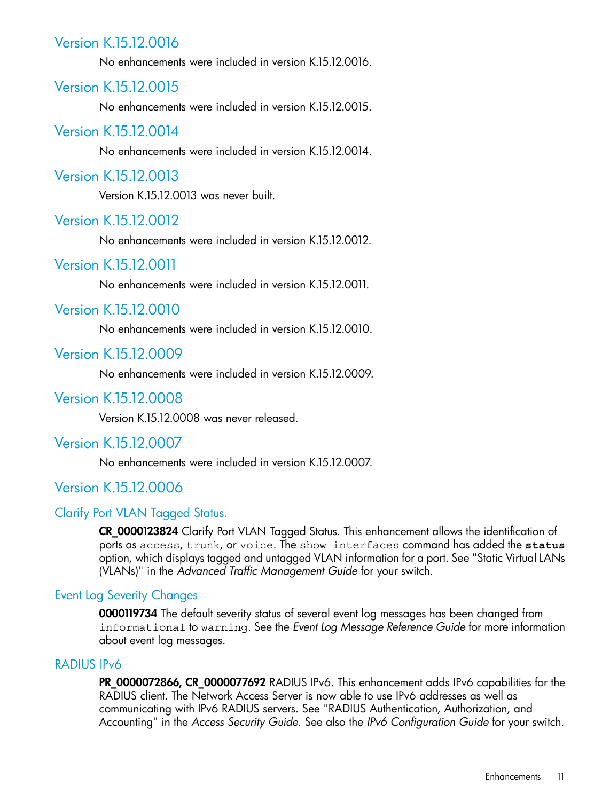## Version K.15.12.0016

<span id="page-10-1"></span><span id="page-10-0"></span>No enhancements were included in version K.15.12.0016.

## Version K.15.12.0015

<span id="page-10-2"></span>No enhancements were included in version K.15.12.0015.

#### Version K.15.12.0014

<span id="page-10-3"></span>No enhancements were included in version K.15.12.0014.

#### Version K.15.12.0013

<span id="page-10-4"></span>Version K.15.12.0013 was never built.

#### Version K.15.12.0012

<span id="page-10-5"></span>No enhancements were included in version K.15.12.0012.

## Version K.15.12.0011

<span id="page-10-6"></span>No enhancements were included in version K.15.12.0011.

## Version K.15.12.0010

<span id="page-10-7"></span>No enhancements were included in version K.15.12.0010.

#### Version K.15.12.0009

<span id="page-10-9"></span><span id="page-10-8"></span>No enhancements were included in version K.15.12.0009.

#### Version K.15.12.0008

<span id="page-10-10"></span>Version K.15.12.0008 was never released.

#### Version K.15.12.0007

<span id="page-10-11"></span>No enhancements were included in version K.15.12.0007.

## Version K.15.12.0006

#### Clarify Port VLAN Tagged Status.

<span id="page-10-12"></span>CR\_0000123824 Clarify Port VLAN Tagged Status. This enhancement allows the identification of ports as access, trunk, or voice. The show interfaces command has added the **status** option, which displays tagged and untagged VLAN information for a port. See "Static Virtual LANs (VLANs)" in the *Advanced Traffic Management Guide* for your switch.

#### Event Log Severity Changes

<span id="page-10-13"></span>0000119734 The default severity status of several event log messages has been changed from informational to warning. See the *Event Log Message Reference Guide* for more information about event log messages.

#### RADIUS IPv6

PR\_0000072866, CR\_0000077692 RADIUS IPv6. This enhancement adds IPv6 capabilities for the RADIUS client. The Network Access Server is now able to use IPv6 addresses as well as communicating with IPv6 RADIUS servers. See "RADIUS Authentication, Authorization, and Accounting" in the *Access Security Guide*. See also the *IPv6 Configuration Guide* for your switch.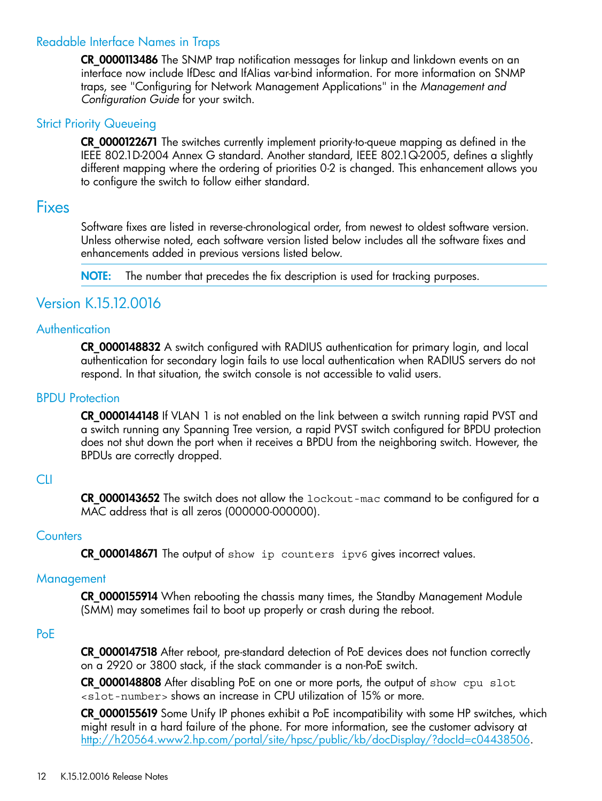#### Readable Interface Names in Traps

<span id="page-11-0"></span>CR 0000113486 The SNMP trap notification messages for linkup and linkdown events on an interface now include IfDesc and IfAlias var-bind information. For more information on SNMP traps, see "Configuring for Network Management Applications" in the *Management and Configuration Guide* for your switch.

#### **Strict Priority Queueing**

<span id="page-11-2"></span><span id="page-11-1"></span>CR\_0000122671 The switches currently implement priority-to-queue mapping as defined in the IEEE 802.1D-2004 Annex G standard. Another standard, IEEE 802.1Q-2005, defines a slightly different mapping where the ordering of priorities 0-2 is changed. This enhancement allows you to configure the switch to follow either standard.

## **Fixes**

Software fixes are listed in reverse-chronological order, from newest to oldest software version. Unless otherwise noted, each software version listed below includes all the software fixes and enhancements added in previous versions listed below.

<span id="page-11-4"></span><span id="page-11-3"></span>NOTE: The number that precedes the fix description is used for tracking purposes.

## Version K.15.12.0016

#### **Authentication**

<span id="page-11-5"></span>CR\_0000148832 A switch configured with RADIUS authentication for primary login, and local authentication for secondary login fails to use local authentication when RADIUS servers do not respond. In that situation, the switch console is not accessible to valid users.

#### BPDU Protection

<span id="page-11-6"></span>CR\_0000144148 If VLAN 1 is not enabled on the link between a switch running rapid PVST and a switch running any Spanning Tree version, a rapid PVST switch configured for BPDU protection does not shut down the port when it receives a BPDU from the neighboring switch. However, the BPDUs are correctly dropped.

#### CLI

<span id="page-11-8"></span><span id="page-11-7"></span>**CR** 0000143652 The switch does not allow the  $1$ ockout-mac command to be configured for a MAC address that is all zeros (000000-000000).

#### **Counters**

<span id="page-11-9"></span>CR\_0000148671 The output of show ip counters ipv6 gives incorrect values.

#### **Management**

CR 0000155914 When rebooting the chassis many times, the Standby Management Module (SMM) may sometimes fail to boot up properly or crash during the reboot.

#### PoE

CR\_0000147518 After reboot, pre-standard detection of PoE devices does not function correctly on a 2920 or 3800 stack, if the stack commander is a non-PoE switch.

CR\_0000148808 After disabling PoE on one or more ports, the output of show cpu slot <slot-number> shows an increase in CPU utilization of 15% or more.

CR\_0000155619 Some Unify IP phones exhibit a PoE incompatibility with some HP switches, which might result in a hard failure of the phone. For more information, see the customer advisory at [http://h20564.www2.hp.com/portal/site/hpsc/public/kb/docDisplay/?docId=c04438506.](http://h20564.www2.hp.com/portal/site/hpsc/public/kb/docDisplay/?docId=c04438506)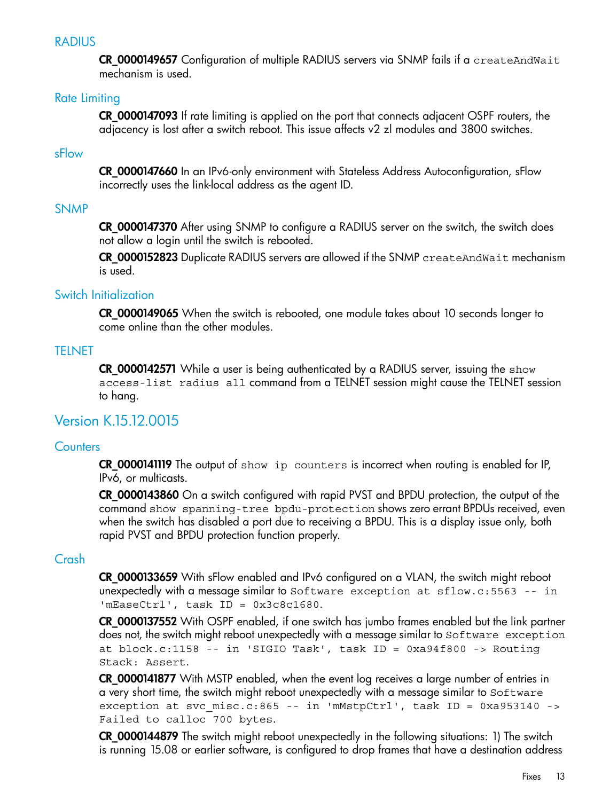#### RADIUS

<span id="page-12-1"></span><span id="page-12-0"></span>CR\_0000149657 Configuration of multiple RADIUS servers via SNMP fails if a createAndWait mechanism is used.

#### Rate Limiting

<span id="page-12-2"></span>CR\_0000147093 If rate limiting is applied on the port that connects adjacent OSPF routers, the adjacency is lost after a switch reboot. This issue affects v2 zl modules and 3800 switches.

#### sFlow

<span id="page-12-3"></span>CR\_0000147660 In an IPv6-only environment with Stateless Address Autoconfiguration, sFlow incorrectly uses the link-local address as the agent ID.

#### SNMP

CR\_0000147370 After using SNMP to configure a RADIUS server on the switch, the switch does not allow a login until the switch is rebooted.

<span id="page-12-4"></span>CR 0000152823 Duplicate RADIUS servers are allowed if the SNMP createAndWait mechanism is used.

#### Switch Initialization

<span id="page-12-5"></span>CR\_0000149065 When the switch is rebooted, one module takes about 10 seconds longer to come online than the other modules.

#### **TELNET**

<span id="page-12-7"></span><span id="page-12-6"></span>CR\_0000142571 While a user is being authenticated by a RADIUS server, issuing the show access-list radius all command from a TELNET session might cause the TELNET session to hang.

## Version K.15.12.0015

#### **Counters**

CR\_0000141119 The output of show ip counters is incorrect when routing is enabled for IP, IPv6, or multicasts.

<span id="page-12-8"></span>CR\_0000143860 On a switch configured with rapid PVST and BPDU protection, the output of the command show spanning-tree bpdu-protection shows zero errant BPDUs received, even when the switch has disabled a port due to receiving a BPDU. This is a display issue only, both rapid PVST and BPDU protection function properly.

#### Crash

CR\_0000133659 With sFlow enabled and IPv6 configured on a VLAN, the switch might reboot unexpectedly with a message similar to Software exception at sflow.c:5563 -- in 'mEaseCtrl', task ID = 0x3c8c1680.

CR 0000137552 With OSPF enabled, if one switch has jumbo frames enabled but the link partner does not, the switch might reboot unexpectedly with a message similar to Software exception at block.c:1158 -- in 'SIGIO Task', task ID = 0xa94f800 -> Routing Stack: Assert.

CR\_0000141877 With MSTP enabled, when the event log receives a large number of entries in a very short time, the switch might reboot unexpectedly with a message similar to Software exception at svc misc.c:865 -- in 'mMstpCtrl', task ID = 0xa953140 -> Failed to calloc 700 bytes.

**CR 0000144879** The switch might reboot unexpectedly in the following situations: 1) The switch is running 15.08 or earlier software, is configured to drop frames that have a destination address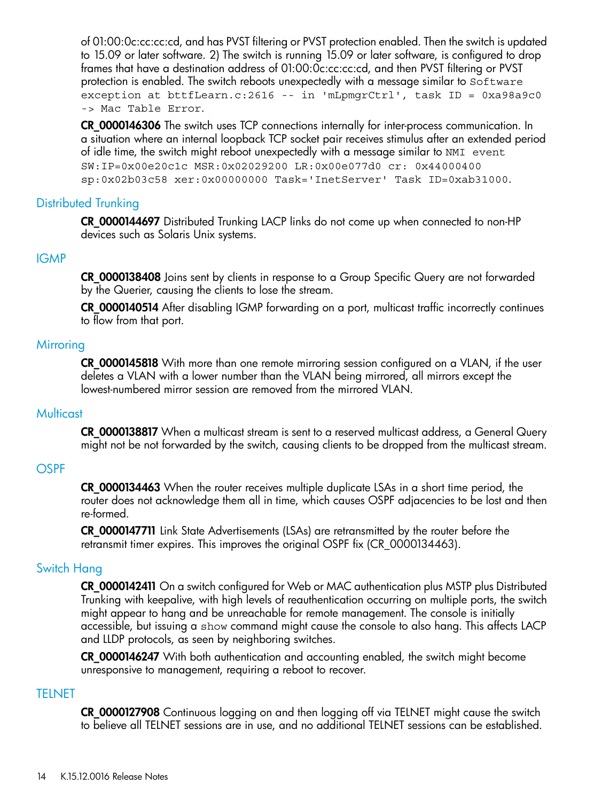of 01:00:0c:cc:cc:cd, and has PVST filtering or PVST protection enabled. Then the switch is updated to 15.09 or later software. 2) The switch is running 15.09 or later software, is configured to drop frames that have a destination address of 01:00:0c:cc:cc:cd, and then PVST filtering or PVST protection is enabled. The switch reboots unexpectedly with a message similar to Software exception at bttfLearn.c:2616 -- in 'mLpmgrCtrl', task ID = 0xa98a9c0 -> Mac Table Error.

CR\_0000146306 The switch uses TCP connections internally for inter-process communication. In a situation where an internal loopback TCP socket pair receives stimulus after an extended period of idle time, the switch might reboot unexpectedly with a message similar to NMI event SW:IP=0x00e20c1c MSR:0x02029200 LR:0x00e077d0 cr: 0x44000400 sp:0x02b03c58 xer:0x00000000 Task='InetServer' Task ID=0xab31000.

#### Distributed Trunking

<span id="page-13-1"></span><span id="page-13-0"></span>CR\_0000144697 Distributed Trunking LACP links do not come up when connected to non-HP devices such as Solaris Unix systems.

#### IGMP

CR\_0000138408 Joins sent by clients in response to a Group Specific Query are not forwarded by the Querier, causing the clients to lose the stream.

<span id="page-13-2"></span>CR\_0000140514 After disabling IGMP forwarding on a port, multicast traffic incorrectly continues to flow from that port.

#### **Mirroring**

<span id="page-13-3"></span>CR\_0000145818 With more than one remote mirroring session configured on a VLAN, if the user deletes a VLAN with a lower number than the VLAN being mirrored, all mirrors except the lowest-numbered mirror session are removed from the mirrored VLAN.

#### **Multicast**

<span id="page-13-4"></span>CR\_0000138817 When a multicast stream is sent to a reserved multicast address, a General Query might not be not forwarded by the switch, causing clients to be dropped from the multicast stream.

#### **OSPF**

<span id="page-13-5"></span>**CR 0000134463** When the router receives multiple duplicate LSAs in a short time period, the router does not acknowledge them all in time, which causes OSPF adjacencies to be lost and then re-formed.

CR\_0000147711 Link State Advertisements (LSAs) are retransmitted by the router before the retransmit timer expires. This improves the original OSPF fix (CR\_0000134463).

#### Switch Hang

<span id="page-13-6"></span>CR\_0000142411 On a switch configured for Web or MAC authentication plus MSTP plus Distributed Trunking with keepalive, with high levels of reauthentication occurring on multiple ports, the switch might appear to hang and be unreachable for remote management. The console is initially accessible, but issuing a show command might cause the console to also hang. This affects LACP and LLDP protocols, as seen by neighboring switches.

CR 0000146247 With both authentication and accounting enabled, the switch might become unresponsive to management, requiring a reboot to recover.

#### TELNET

CR 0000127908 Continuous logging on and then logging off via TELNET might cause the switch to believe all TELNET sessions are in use, and no additional TELNET sessions can be established.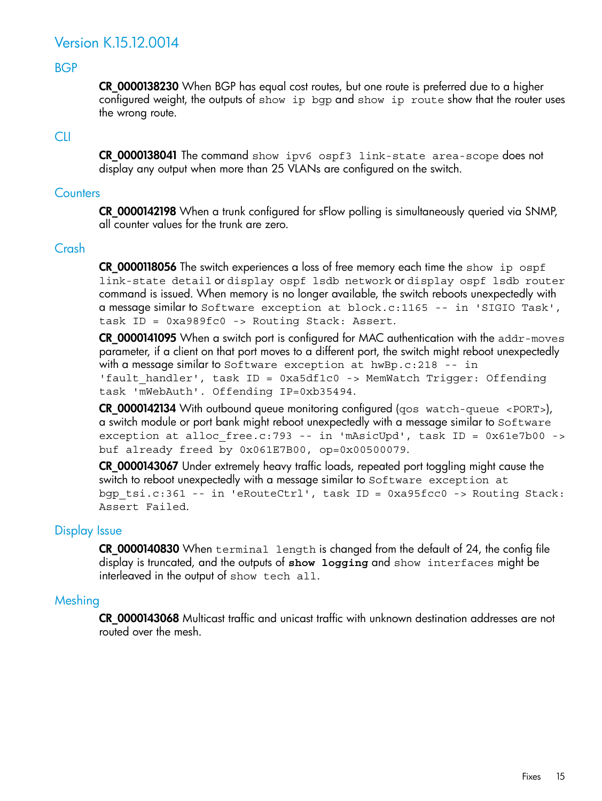## <span id="page-14-0"></span>Version K.15.12.0014

#### BGP

<span id="page-14-2"></span><span id="page-14-1"></span>CR 0000138230 When BGP has equal cost routes, but one route is preferred due to a higher configured weight, the outputs of show ip bgp and show ip route show that the router uses the wrong route.

#### CLI

<span id="page-14-3"></span>CR\_0000138041 The command show ipv6 ospf3 link-state area-scope does not display any output when more than 25 VLANs are configured on the switch.

#### **Counters**

<span id="page-14-4"></span>CR\_0000142198 When a trunk configured for sFlow polling is simultaneously queried via SNMP, all counter values for the trunk are zero.

#### Crash

CR\_0000118056 The switch experiences a loss of free memory each time the show ip ospf link-state detail or display ospf lsdb network or display ospf lsdb router command is issued. When memory is no longer available, the switch reboots unexpectedly with a message similar to Software exception at block.c:1165 -- in 'SIGIO Task', task ID = 0xa989fc0 -> Routing Stack: Assert.

CR\_0000141095 When a switch port is configured for MAC authentication with the addr-moves parameter, if a client on that port moves to a different port, the switch might reboot unexpectedly with a message similar to Software exception at  $hwBp.c:218 - -$  in 'fault handler', task ID = 0xa5df1c0 -> MemWatch Trigger: Offending task 'mWebAuth'. Offending IP=0xb35494.

CR\_0000142134 With outbound queue monitoring configured (qos watch-queue <PORT>), a switch module or port bank might reboot unexpectedly with a message similar to Software exception at alloc free.c:793 -- in 'mAsicUpd', task ID = 0x61e7b00 -> buf already freed by 0x061E7B00, op=0x00500079.

<span id="page-14-5"></span>CR\_0000143067 Under extremely heavy traffic loads, repeated port toggling might cause the switch to reboot unexpectedly with a message similar to Software exception at bgp\_tsi.c:361 -- in 'eRouteCtrl', task ID = 0xa95fcc0 -> Routing Stack: Assert Failed.

#### Display Issue

<span id="page-14-6"></span>CR\_0000140830 When terminal length is changed from the default of 24, the config file display is truncated, and the outputs of **show logging** and show interfaces might be interleaved in the output of show tech all.

#### Meshing

CR\_0000143068 Multicast traffic and unicast traffic with unknown destination addresses are not routed over the mesh.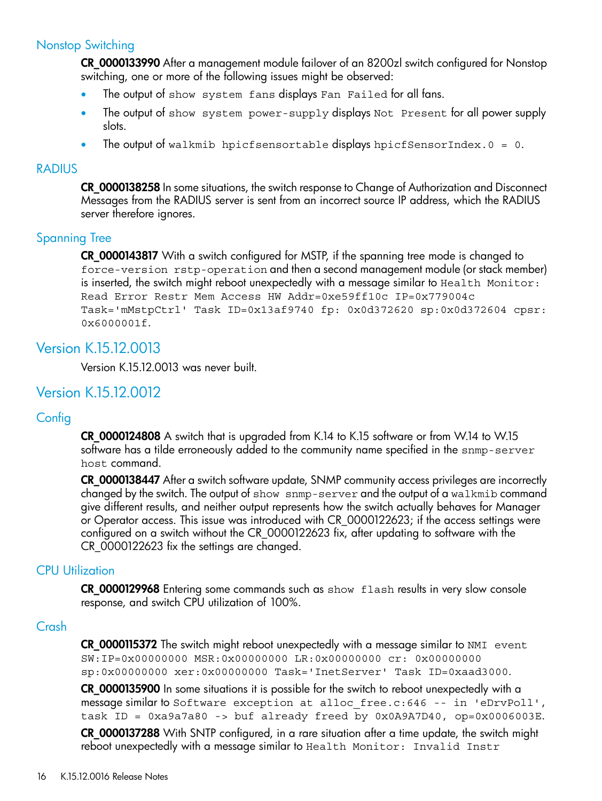#### Nonstop Switching

<span id="page-15-0"></span>CR\_0000133990 After a management module failover of an 8200zl switch configured for Nonstop switching, one or more of the following issues might be observed:

- The output of show system fans displays Fan Failed for all fans.
- The output of show system power-supply displays Not Present for all power supply slots.
- <span id="page-15-1"></span>The output of walkmib hpicfsensortable displays hpicfSensorIndex. $0 = 0$ .

#### **RADIUS**

<span id="page-15-2"></span>CR\_0000138258 In some situations, the switch response to Change of Authorization and Disconnect Messages from the RADIUS server is sent from an incorrect source IP address, which the RADIUS server therefore ignores.

#### Spanning Tree

<span id="page-15-3"></span>CR\_0000143817 With a switch configured for MSTP, if the spanning tree mode is changed to force-version rstp-operation and then a second management module (or stack member) is inserted, the switch might reboot unexpectedly with a message similar to Health Monitor: Read Error Restr Mem Access HW Addr=0xe59ff10c IP=0x779004c Task='mMstpCtrl' Task ID=0x13af9740 fp: 0x0d372620 sp:0x0d372604 cpsr: 0x6000001f.

## Version K.15.12.0013

<span id="page-15-5"></span><span id="page-15-4"></span>Version K.15.12.0013 was never built.

## Version K.15.12.0012

#### **Config**

CR\_0000124808 A switch that is upgraded from K.14 to K.15 software or from W.14 to W.15 software has a tilde erroneously added to the community name specified in the snmp-server host command.

<span id="page-15-6"></span>CR\_0000138447 After a switch software update, SNMP community access privileges are incorrectly changed by the switch. The output of show snmp-server and the output of a walkmib command give different results, and neither output represents how the switch actually behaves for Manager or Operator access. This issue was introduced with CR\_0000122623; if the access settings were configured on a switch without the CR\_0000122623 fix, after updating to software with the CR\_0000122623 fix the settings are changed.

#### CPU Utilization

<span id="page-15-7"></span>CR\_0000129968 Entering some commands such as show flash results in very slow console response, and switch CPU utilization of 100%.

#### Crash

CR\_0000115372 The switch might reboot unexpectedly with a message similar to NMI event SW:IP=0x00000000 MSR:0x00000000 LR:0x00000000 cr: 0x00000000 sp:0x00000000 xer:0x00000000 Task='InetServer' Task ID=0xaad3000.

CR\_0000135900 In some situations it is possible for the switch to reboot unexpectedly with a message similar to Software exception at alloc free.c:646 -- in 'eDrvPoll', task ID = 0xa9a7a80 -> buf already freed by 0x0A9A7D40, op=0x0006003E. CR\_0000137288 With SNTP configured, in a rare situation after a time update, the switch might reboot unexpectedly with a message similar to Health Monitor: Invalid Instr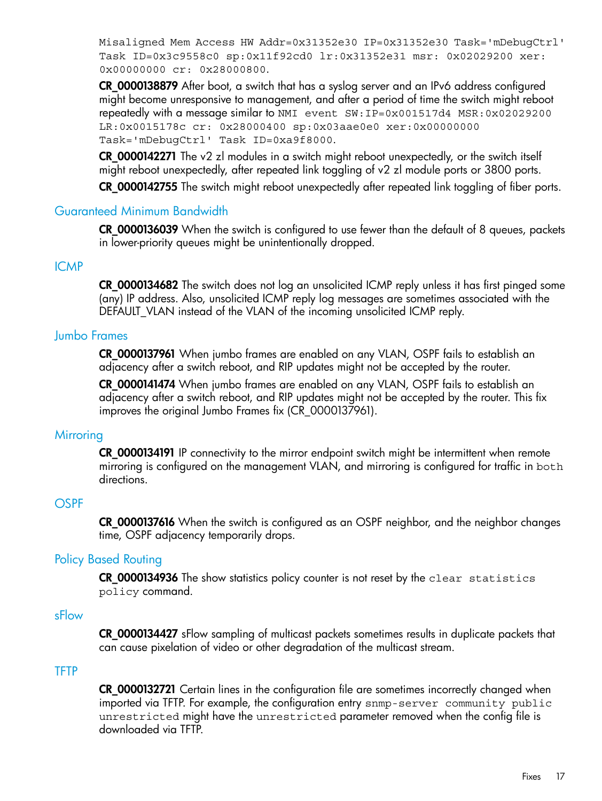Misaligned Mem Access HW Addr=0x31352e30 IP=0x31352e30 Task='mDebugCtrl' Task ID=0x3c9558c0 sp:0x11f92cd0 lr:0x31352e31 msr: 0x02029200 xer: 0x00000000 cr: 0x28000800.

CR\_0000138879 After boot, a switch that has a syslog server and an IPv6 address configured might become unresponsive to management, and after a period of time the switch might reboot repeatedly with a message similar to NMI event SW:IP=0x001517d4 MSR:0x02029200 LR:0x0015178c cr: 0x28000400 sp:0x03aae0e0 xer:0x00000000 Task='mDebugCtrl' Task ID=0xa9f8000.

CR 0000142271 The v2 zl modules in a switch might reboot unexpectedly, or the switch itself might reboot unexpectedly, after repeated link toggling of v2 zl module ports or 3800 ports.

<span id="page-16-0"></span>CR\_0000142755 The switch might reboot unexpectedly after repeated link toggling of fiber ports.

#### Guaranteed Minimum Bandwidth

<span id="page-16-1"></span>CR\_0000136039 When the switch is configured to use fewer than the default of 8 queues, packets in lower-priority queues might be unintentionally dropped.

#### ICMP

<span id="page-16-2"></span>CR\_0000134682 The switch does not log an unsolicited ICMP reply unless it has first pinged some (any) IP address. Also, unsolicited ICMP reply log messages are sometimes associated with the DEFAULT\_VLAN instead of the VLAN of the incoming unsolicited ICMP reply.

#### Jumbo Frames

CR\_0000137961 When jumbo frames are enabled on any VLAN, OSPF fails to establish an adjacency after a switch reboot, and RIP updates might not be accepted by the router.

<span id="page-16-3"></span>CR\_0000141474 When jumbo frames are enabled on any VLAN, OSPF fails to establish an adjacency after a switch reboot, and RIP updates might not be accepted by the router. This fix improves the original Jumbo Frames fix (CR\_0000137961).

#### **Mirroring**

<span id="page-16-4"></span>CR\_0000134191 IP connectivity to the mirror endpoint switch might be intermittent when remote mirroring is configured on the management VLAN, and mirroring is configured for traffic in both directions.

#### **OSPF**

<span id="page-16-6"></span><span id="page-16-5"></span>CR\_0000137616 When the switch is configured as an OSPF neighbor, and the neighbor changes time, OSPF adjacency temporarily drops.

#### Policy Based Routing

<span id="page-16-7"></span>CR\_0000134936 The show statistics policy counter is not reset by the clear statistics policy command.

#### sFlow

CR\_0000134427 sFlow sampling of multicast packets sometimes results in duplicate packets that can cause pixelation of video or other degradation of the multicast stream.

#### TFTP

CR\_0000132721 Certain lines in the configuration file are sometimes incorrectly changed when imported via TFTP. For example, the configuration entry snmp-server community public unrestricted might have the unrestricted parameter removed when the config file is downloaded via TFTP.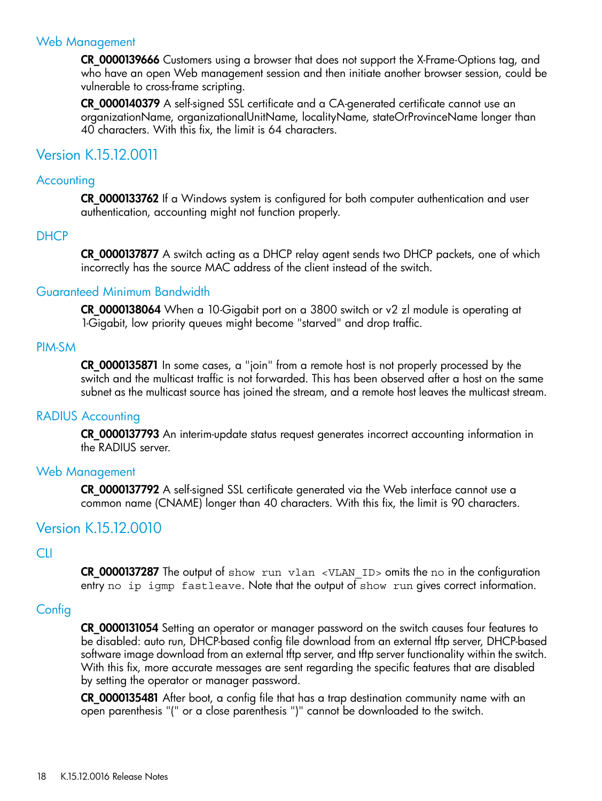#### Web Management

<span id="page-17-0"></span>CR\_0000139666 Customers using a browser that does not support the X-Frame-Options tag, and who have an open Web management session and then initiate another browser session, could be vulnerable to cross-frame scripting.

<span id="page-17-1"></span>CR 0000140379 A self-signed SSL certificate and a CA-generated certificate cannot use an organizationName, organizationalUnitName, localityName, stateOrProvinceName longer than 40 characters. With this fix, the limit is 64 characters.

## <span id="page-17-2"></span>Version K.15.12.0011

#### **Accounting**

<span id="page-17-3"></span>CR\_0000133762 If a Windows system is configured for both computer authentication and user authentication, accounting might not function properly.

#### **DHCP**

<span id="page-17-4"></span>CR\_0000137877 A switch acting as a DHCP relay agent sends two DHCP packets, one of which incorrectly has the source MAC address of the client instead of the switch.

#### Guaranteed Minimum Bandwidth

<span id="page-17-5"></span>CR\_0000138064 When a 10-Gigabit port on a 3800 switch or v2 zl module is operating at 1-Gigabit, low priority queues might become "starved" and drop traffic.

#### PIM-SM

<span id="page-17-6"></span>CR\_0000135871 In some cases, a "join" from a remote host is not properly processed by the switch and the multicast traffic is not forwarded. This has been observed after a host on the same subnet as the multicast source has joined the stream, and a remote host leaves the multicast stream.

#### RADIUS Accounting

<span id="page-17-7"></span>CR\_0000137793 An interim-update status request generates incorrect accounting information in the RADIUS server.

#### Web Management

<span id="page-17-9"></span><span id="page-17-8"></span>CR 0000137792 A self-signed SSL certificate generated via the Web interface cannot use a common name (CNAME) longer than 40 characters. With this fix, the limit is 90 characters.

## Version K.15.12.0010

#### CLI

<span id="page-17-10"></span>CR\_0000137287 The output of show run vlan <VLAN\_ID> omits the no in the configuration entry no ip igmp fastleave. Note that the output of show run gives correct information.

#### **Config**

CR\_0000131054 Setting an operator or manager password on the switch causes four features to be disabled: auto run, DHCP-based config file download from an external tftp server, DHCP-based software image download from an external tftp server, and tftp server functionality within the switch. With this fix, more accurate messages are sent regarding the specific features that are disabled by setting the operator or manager password.

CR\_0000135481 After boot, a config file that has a trap destination community name with an open parenthesis "(" or a close parenthesis ")" cannot be downloaded to the switch.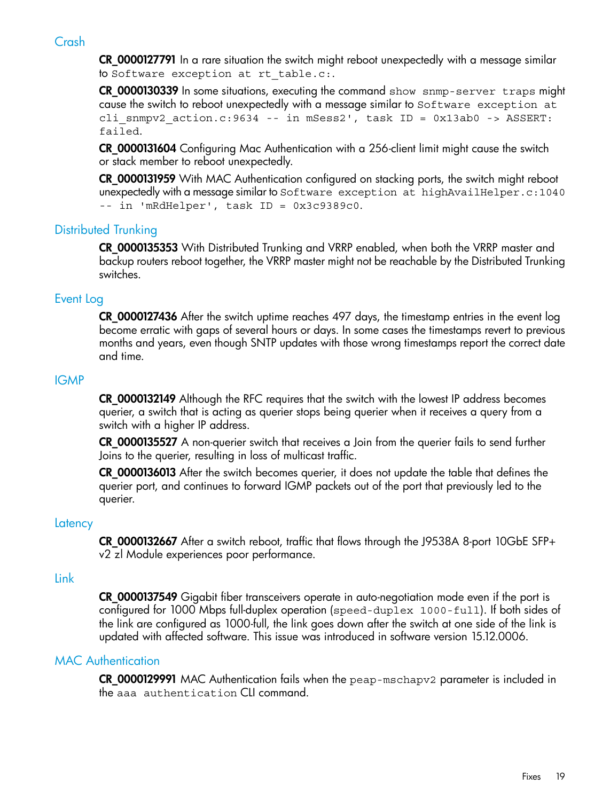## Crash

<span id="page-18-0"></span>CR\_0000127791 In a rare situation the switch might reboot unexpectedly with a message similar to Software exception at rt table.c:.

CR\_0000130339 In some situations, executing the command show snmp-server traps might cause the switch to reboot unexpectedly with a message similar to Software exception at cli snmpv2 action.c:9634 -- in mSess2', task ID = 0x13ab0 -> ASSERT: failed.

CR\_0000131604 Configuring Mac Authentication with a 256-client limit might cause the switch or stack member to reboot unexpectedly.

<span id="page-18-1"></span>**CR 0000131959** With MAC Authentication configured on stacking ports, the switch might reboot unexpectedly with a message similar to Software exception at highAvailHelper.c:1040 -- in 'mRdHelper', task ID = 0x3c9389c0.

#### Distributed Trunking

<span id="page-18-2"></span>**CR 0000135353** With Distributed Trunking and VRRP enabled, when both the VRRP master and backup routers reboot together, the VRRP master might not be reachable by the Distributed Trunking switches.

#### Event Log

<span id="page-18-3"></span>CR\_0000127436 After the switch uptime reaches 497 days, the timestamp entries in the event log become erratic with gaps of several hours or days. In some cases the timestamps revert to previous months and years, even though SNTP updates with those wrong timestamps report the correct date and time.

#### IGMP

CR\_0000132149 Although the RFC requires that the switch with the lowest IP address becomes querier, a switch that is acting as querier stops being querier when it receives a query from a switch with a higher IP address.

CR\_0000135527 A non-querier switch that receives a Join from the querier fails to send further Joins to the querier, resulting in loss of multicast traffic.

<span id="page-18-4"></span>CR\_0000136013 After the switch becomes querier, it does not update the table that defines the querier port, and continues to forward IGMP packets out of the port that previously led to the querier.

#### **Latency**

<span id="page-18-5"></span>CR\_0000132667 After a switch reboot, traffic that flows through the J9538A 8-port 10GbE SFP+ v2 zl Module experiences poor performance.

#### Link

<span id="page-18-6"></span>**CR 0000137549** Gigabit fiber transceivers operate in auto-negotiation mode even if the port is configured for 1000 Mbps full-duplex operation (speed-duplex 1000-full). If both sides of the link are configured as 1000-full, the link goes down after the switch at one side of the link is updated with affected software. This issue was introduced in software version 15.12.0006.

#### MAC Authentication

CR\_0000129991 MAC Authentication fails when the peap-mschapv2 parameter is included in the aaa authentication CLI command.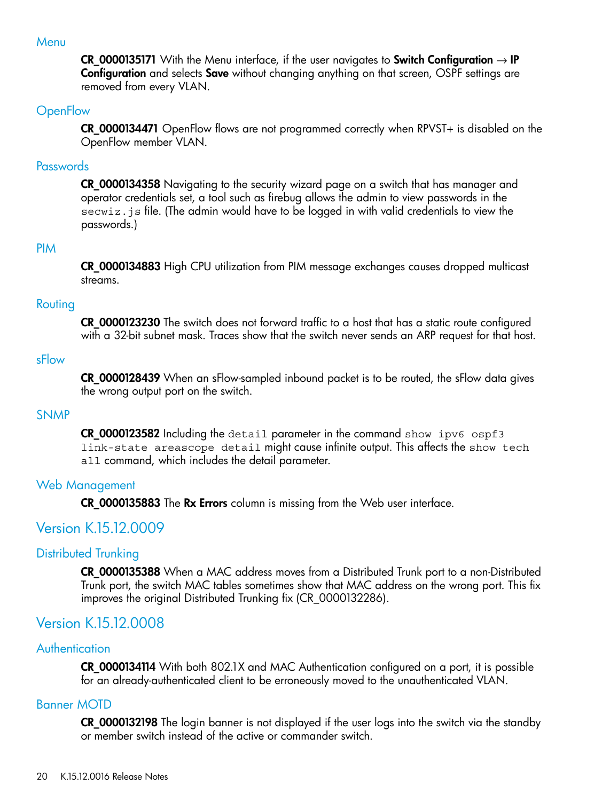#### Menu

<span id="page-19-1"></span><span id="page-19-0"></span>CR\_0000135171 With the Menu interface, if the user navigates to Switch Configuration  $\rightarrow$  IP Configuration and selects Save without changing anything on that screen, OSPF settings are removed from every VLAN.

#### **OpenFlow**

<span id="page-19-2"></span>CR 0000134471 OpenFlow flows are not programmed correctly when RPVST+ is disabled on the OpenFlow member VLAN.

#### Passwords

<span id="page-19-3"></span>**CR 0000134358** Navigating to the security wizard page on a switch that has manager and operator credentials set, a tool such as firebug allows the admin to view passwords in the secwiz.js file. (The admin would have to be logged in with valid credentials to view the passwords.)

#### PIM

<span id="page-19-4"></span>CR\_0000134883 High CPU utilization from PIM message exchanges causes dropped multicast streams.

#### Routing

<span id="page-19-5"></span>**CR\_0000123230** The switch does not forward traffic to a host that has a static route configured with a 32-bit subnet mask. Traces show that the switch never sends an ARP request for that host.

#### sFlow

<span id="page-19-6"></span>CR\_0000128439 When an sFlow-sampled inbound packet is to be routed, the sFlow data gives the wrong output port on the switch.

#### SNMP

<span id="page-19-8"></span><span id="page-19-7"></span>CR\_0000123582 Including the detail parameter in the command show ipv6 ospf3 link-state areascope detail might cause infinite output. This affects the show tech all command, which includes the detail parameter.

#### Web Management

<span id="page-19-9"></span>CR\_0000135883 The Rx Errors column is missing from the Web user interface.

## Version K.15.12.0009

#### Distributed Trunking

<span id="page-19-11"></span><span id="page-19-10"></span>CR\_0000135388 When a MAC address moves from a Distributed Trunk port to a non-Distributed Trunk port, the switch MAC tables sometimes show that MAC address on the wrong port. This fix improves the original Distributed Trunking fix (CR\_0000132286).

## <span id="page-19-12"></span>Version K.15.12.0008

#### Authentication

CR\_0000134114 With both 802.1X and MAC Authentication configured on a port, it is possible for an already-authenticated client to be erroneously moved to the unauthenticated VLAN.

#### Banner MOTD

CR\_0000132198 The login banner is not displayed if the user logs into the switch via the standby or member switch instead of the active or commander switch.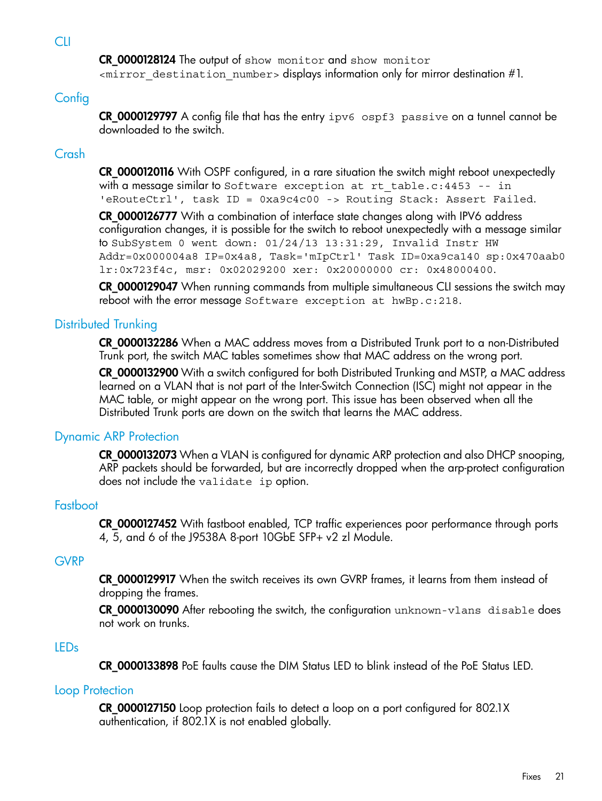**CLI** 

<span id="page-20-1"></span><span id="page-20-0"></span>CR\_0000128124 The output of show monitor and show monitor <mirror\_destination\_number> displays information only for mirror destination #1.

## **Config**

<span id="page-20-2"></span>CR\_0000129797 A config file that has the entry ipv6 ospf3 passive on a tunnel cannot be downloaded to the switch.

## Crash

CR\_0000120116 With OSPF configured, in a rare situation the switch might reboot unexpectedly with a message similar to Software exception at rt table.c:  $4453$  -- in 'eRouteCtrl', task ID = 0xa9c4c00 -> Routing Stack: Assert Failed.

CR\_0000126777 With a combination of interface state changes along with IPV6 address configuration changes, it is possible for the switch to reboot unexpectedly with a message similar to SubSystem 0 went down: 01/24/13 13:31:29, Invalid Instr HW Addr=0x000004a8 IP=0x4a8, Task='mIpCtrl' Task ID=0xa9ca140 sp:0x470aab0 lr:0x723f4c, msr: 0x02029200 xer: 0x20000000 cr: 0x48000400.

<span id="page-20-3"></span>CR\_0000129047 When running commands from multiple simultaneous CLI sessions the switch may reboot with the error message Software exception at hwBp.c:218.

## Distributed Trunking

CR\_0000132286 When a MAC address moves from a Distributed Trunk port to a non-Distributed Trunk port, the switch MAC tables sometimes show that MAC address on the wrong port.

<span id="page-20-4"></span>CR 0000132900 With a switch configured for both Distributed Trunking and MSTP, a MAC address learned on a VLAN that is not part of the Inter-Switch Connection (ISC) might not appear in the MAC table, or might appear on the wrong port. This issue has been observed when all the Distributed Trunk ports are down on the switch that learns the MAC address.

## Dynamic ARP Protection

<span id="page-20-5"></span>CR\_0000132073 When a VLAN is configured for dynamic ARP protection and also DHCP snooping, ARP packets should be forwarded, but are incorrectly dropped when the arp-protect configuration does not include the validate ip option.

## **Fastboot**

<span id="page-20-6"></span>CR\_0000127452 With fastboot enabled, TCP traffic experiences poor performance through ports 4, 5, and 6 of the J9538A 8-port 10GbE SFP+ v2 zl Module.

#### **GVRP**

<span id="page-20-7"></span>CR 0000129917 When the switch receives its own GVRP frames, it learns from them instead of dropping the frames.

<span id="page-20-8"></span>CR\_0000130090 After rebooting the switch, the configuration unknown-vlans disable does not work on trunks.

## LEDs

CR\_0000133898 PoE faults cause the DIM Status LED to blink instead of the PoE Status LED.

#### Loop Protection

CR\_0000127150 Loop protection fails to detect a loop on a port configured for 802.1X authentication, if 802.1X is not enabled globally.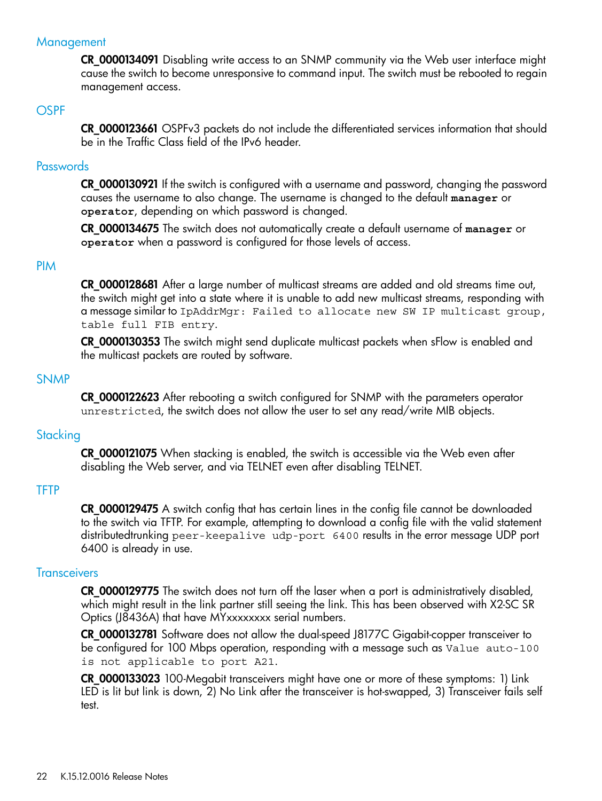#### **Management**

<span id="page-21-1"></span><span id="page-21-0"></span>CR\_0000134091 Disabling write access to an SNMP community via the Web user interface might cause the switch to become unresponsive to command input. The switch must be rebooted to regain management access.

#### **OSPF**

<span id="page-21-2"></span>CR 0000123661 OSPFv3 packets do not include the differentiated services information that should be in the Traffic Class field of the IPv6 header.

#### **Passwords**

CR\_0000130921 If the switch is configured with a username and password, changing the password causes the username to also change. The username is changed to the default **manager** or **operator**, depending on which password is changed.

<span id="page-21-3"></span>CR\_0000134675 The switch does not automatically create a default username of **manager** or **operator** when a password is configured for those levels of access.

#### PIM

CR\_0000128681 After a large number of multicast streams are added and old streams time out, the switch might get into a state where it is unable to add new multicast streams, responding with a message similar to IpAddrMgr: Failed to allocate new SW IP multicast group, table full FIB entry.

<span id="page-21-4"></span>CR\_0000130353 The switch might send duplicate multicast packets when sFlow is enabled and the multicast packets are routed by software.

#### SNMP

<span id="page-21-5"></span>CR\_0000122623 After rebooting a switch configured for SNMP with the parameters operator unrestricted, the switch does not allow the user to set any read/write MIB objects.

#### **Stacking**

<span id="page-21-6"></span>CR\_0000121075 When stacking is enabled, the switch is accessible via the Web even after disabling the Web server, and via TELNET even after disabling TELNET.

#### **TFTP**

<span id="page-21-7"></span>**CR 0000129475** A switch config that has certain lines in the config file cannot be downloaded to the switch via TFTP. For example, attempting to download a config file with the valid statement distributedtrunking peer-keepalive udp-port 6400 results in the error message UDP port 6400 is already in use.

#### **Transceivers**

CR\_0000129775 The switch does not turn off the laser when a port is administratively disabled, which might result in the link partner still seeing the link. This has been observed with X2-SC SR Optics (J8436A) that have MYxxxxxxxx serial numbers.

CR\_0000132781 Software does not allow the dual-speed J8177C Gigabit-copper transceiver to be configured for 100 Mbps operation, responding with a message such as Value auto-100 is not applicable to port A21.

CR\_0000133023 100-Megabit transceivers might have one or more of these symptoms: 1) Link LED is lit but link is down, 2) No Link after the transceiver is hot-swapped, 3) Transceiver fails self test.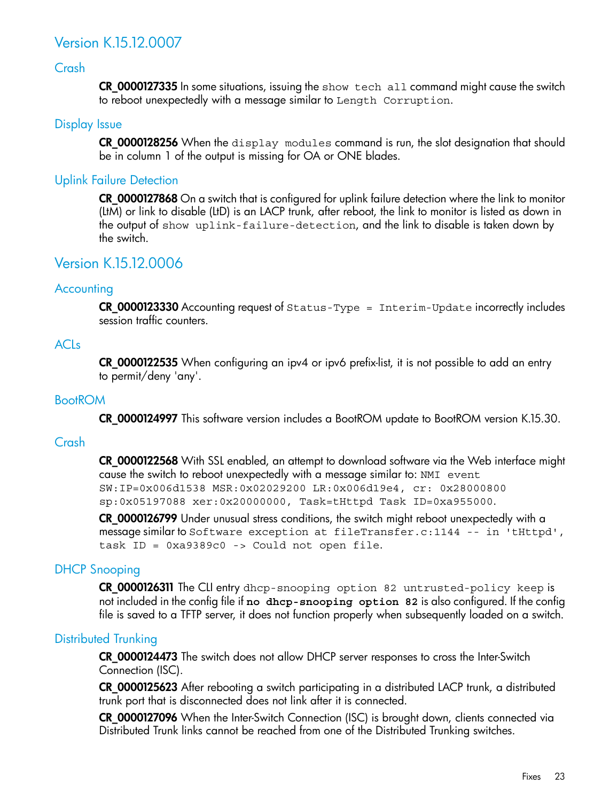## <span id="page-22-0"></span>Version K.15.12.0007

#### Crash

<span id="page-22-2"></span><span id="page-22-1"></span>CR\_0000127335 In some situations, issuing the show tech all command might cause the switch to reboot unexpectedly with a message similar to Length Corruption.

#### Display Issue

<span id="page-22-3"></span>CR\_0000128256 When the display modules command is run, the slot designation that should be in column 1 of the output is missing for OA or ONE blades.

#### Uplink Failure Detection

<span id="page-22-4"></span>CR\_0000127868 On a switch that is configured for uplink failure detection where the link to monitor (LtM) or link to disable (LtD) is an LACP trunk, after reboot, the link to monitor is listed as down in the output of show uplink-failure-detection, and the link to disable is taken down by the switch.

## <span id="page-22-5"></span>Version K.15.12.0006

#### **Accounting**

<span id="page-22-6"></span>CR\_0000123330 Accounting request of Status-Type = Interim-Update incorrectly includes session traffic counters.

#### ACLs

<span id="page-22-7"></span>CR\_0000122535 When configuring an ipv4 or ipv6 prefix-list, it is not possible to add an entry to permit/deny 'any'.

#### BootROM

<span id="page-22-8"></span>CR\_0000124997 This software version includes a BootROM update to BootROM version K.15.30.

#### Crash

CR\_0000122568 With SSL enabled, an attempt to download software via the Web interface might cause the switch to reboot unexpectedly with a message similar to: NMI event SW:IP=0x006d1538 MSR:0x02029200 LR:0x006d19e4, cr: 0x28000800 sp:0x05197088 xer:0x20000000, Task=tHttpd Task ID=0xa955000.

<span id="page-22-9"></span>CR\_0000126799 Under unusual stress conditions, the switch might reboot unexpectedly with a message similar to Software exception at fileTransfer.c:1144 -- in 'tHttpd', task ID = 0xa9389c0 -> Could not open file.

#### DHCP Snooping

<span id="page-22-10"></span>CR\_0000126311 The CLI entry dhcp-snooping option 82 untrusted-policy keep is not included in the config file if **no dhcp-snooping option 82** is also configured. If the config file is saved to a TFTP server, it does not function properly when subsequently loaded on a switch.

#### Distributed Trunking

CR 0000124473 The switch does not allow DHCP server responses to cross the Inter-Switch Connection (ISC).

CR\_0000125623 After rebooting a switch participating in a distributed LACP trunk, a distributed trunk port that is disconnected does not link after it is connected.

CR\_0000127096 When the Inter-Switch Connection (ISC) is brought down, clients connected via Distributed Trunk links cannot be reached from one of the Distributed Trunking switches.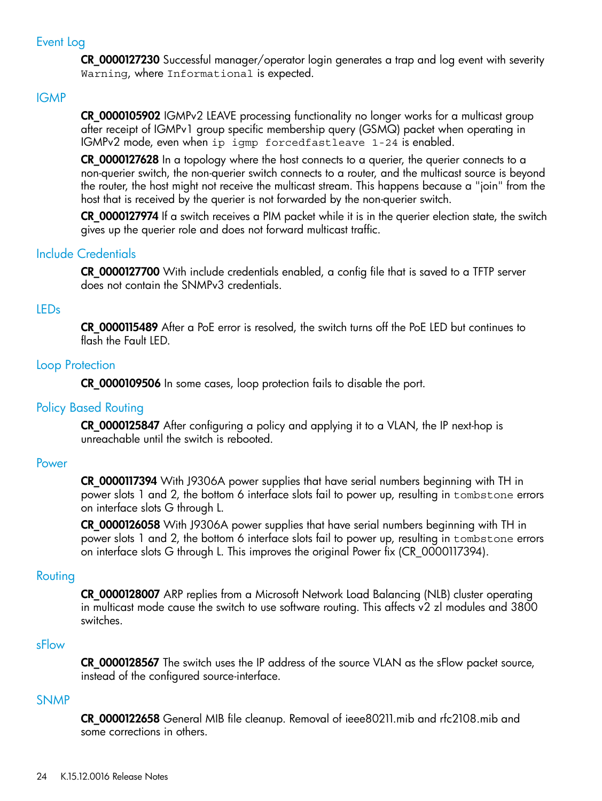#### Event Log

<span id="page-23-1"></span><span id="page-23-0"></span>CR\_0000127230 Successful manager/operator login generates a trap and log event with severity Warning, where Informational is expected.

#### IGMP

CR\_0000105902 IGMPv2 LEAVE processing functionality no longer works for a multicast group after receipt of IGMPv1 group specific membership query (GSMQ) packet when operating in IGMPv2 mode, even when ip igmp forcedfastleave 1-24 is enabled.

CR\_0000127628 In a topology where the host connects to a querier, the querier connects to a non-querier switch, the non-querier switch connects to a router, and the multicast source is beyond the router, the host might not receive the multicast stream. This happens because a "join" from the host that is received by the querier is not forwarded by the non-querier switch.

<span id="page-23-2"></span>CR\_0000127974 If a switch receives a PIM packet while it is in the querier election state, the switch gives up the querier role and does not forward multicast traffic.

#### Include Credentials

<span id="page-23-3"></span>CR\_0000127700 With include credentials enabled, a config file that is saved to a TFTP server does not contain the SNMPv3 credentials.

#### LEDs

<span id="page-23-4"></span>CR\_0000115489 After a PoE error is resolved, the switch turns off the PoE LED but continues to flash the Fault LED.

#### Loop Protection

<span id="page-23-5"></span>CR\_0000109506 In some cases, loop protection fails to disable the port.

#### Policy Based Routing

<span id="page-23-6"></span>CR\_0000125847 After configuring a policy and applying it to a VLAN, the IP next-hop is unreachable until the switch is rebooted.

#### Power

CR\_0000117394 With J9306A power supplies that have serial numbers beginning with TH in power slots 1 and 2, the bottom 6 interface slots fail to power up, resulting in tombstone errors on interface slots G through L.

<span id="page-23-7"></span>CR\_0000126058 With J9306A power supplies that have serial numbers beginning with TH in power slots 1 and 2, the bottom 6 interface slots fail to power up, resulting in tombstone errors on interface slots G through L. This improves the original Power fix (CR\_0000117394).

#### Routing

<span id="page-23-9"></span><span id="page-23-8"></span>CR\_0000128007 ARP replies from a Microsoft Network Load Balancing (NLB) cluster operating in multicast mode cause the switch to use software routing. This affects v2 zl modules and 3800 switches.

#### sFlow

**CR 0000128567** The switch uses the IP address of the source VLAN as the sFlow packet source, instead of the configured source-interface.

#### SNMP

CR\_0000122658 General MIB file cleanup. Removal of ieee80211.mib and rfc2108.mib and some corrections in others.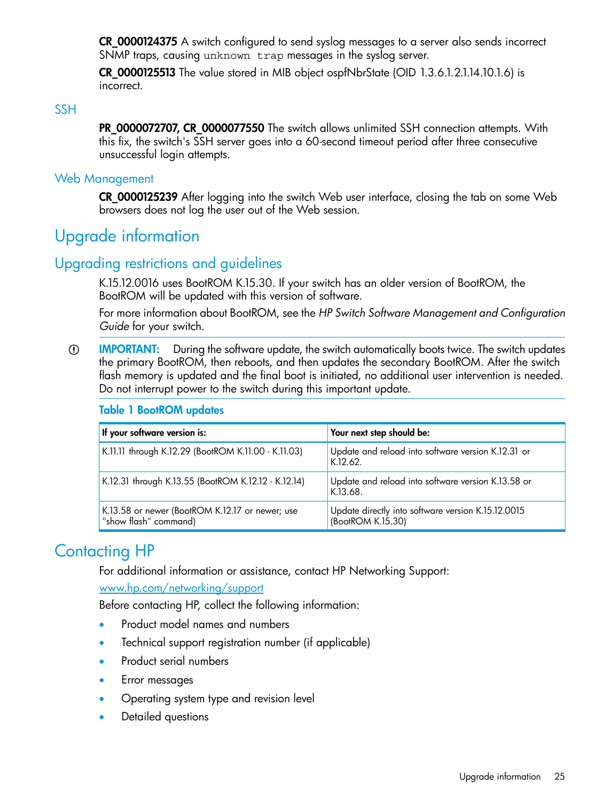CR\_0000124375 A switch configured to send syslog messages to a server also sends incorrect SNMP traps, causing unknown trap messages in the syslog server.

<span id="page-24-0"></span>**CR 0000125513** The value stored in MIB object ospfNbrState (OID 1.3.6.1.2.1.14.10.1.6) is incorrect.

#### SSH

<span id="page-24-1"></span>PR\_0000072707, CR\_0000077550 The switch allows unlimited SSH connection attempts. With this fix, the switch's SSH server goes into a 60-second timeout period after three consecutive unsuccessful login attempts.

#### Web Management

<span id="page-24-2"></span>CR\_0000125239 After logging into the switch Web user interface, closing the tab on some Web browsers does not log the user out of the Web session.

## <span id="page-24-3"></span>Upgrade information

## Upgrading restrictions and guidelines

K.15.12.0016 uses BootROM K.15.30. If your switch has an older version of BootROM, the BootROM will be updated with this version of software.

For more information about BootROM, see the *HP Switch Software Management and Configuration Guide* for your switch.

IMPORTANT: During the software update, the switch automatically boots twice. The switch updates  $\mathbb{O}$ the primary BootROM, then reboots, and then updates the secondary BootROM. After the switch flash memory is updated and the final boot is initiated, no additional user intervention is needed. Do not interrupt power to the switch during this important update.

#### Table 1 BootROM updates

<span id="page-24-4"></span>

| If your software version is:                                             | Your next step should be:                                               |
|--------------------------------------------------------------------------|-------------------------------------------------------------------------|
| K.11.11 through K.12.29 (BootROM K.11.00 - K.11.03)                      | Update and reload into software version K.12.31 or<br>K.12.62.          |
| K.12.31 through K.13.55 (BootROM K.12.12 - K.12.14)                      | Update and reload into software version K.13.58 or<br>K.13.68.          |
| K.13.58 or newer (BootROM K.12.17 or newer; use<br>"show flash" command) | Update directly into software version K.15.12.0015<br>(BootROM K.15.30) |

## Contacting HP

For additional information or assistance, contact HP Networking Support:

[www.hp.com/networking/support](http://www.hp.com/networking/support)

Before contacting HP, collect the following information:

- Product model names and numbers
- Technical support registration number (if applicable)
- Product serial numbers
- Error messages
- Operating system type and revision level
- Detailed questions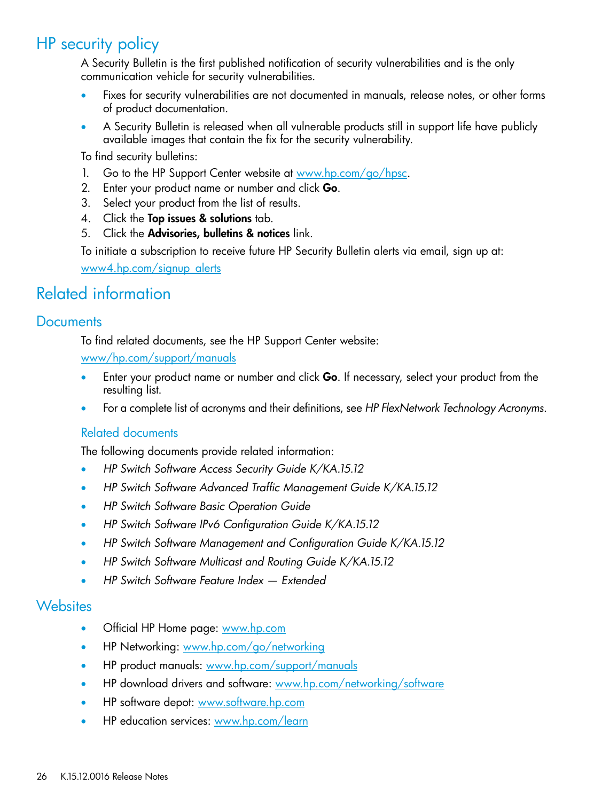## HP security policy

<span id="page-25-0"></span>A Security Bulletin is the first published notification of security vulnerabilities and is the only communication vehicle for security vulnerabilities.

- Fixes for security vulnerabilities are not documented in manuals, release notes, or other forms of product documentation.
- A Security Bulletin is released when all vulnerable products still in support life have publicly available images that contain the fix for the security vulnerability.

To find security bulletins:

- 1. Go to the HP Support Center website at <www.hp.com/go/hpsc>.
- 2. Enter your product name or number and click Go.
- 3. Select your product from the list of results.
- 4. Click the Top issues & solutions tab.
- 5. Click the Advisories, bulletins & notices link.

<span id="page-25-2"></span><span id="page-25-1"></span>To initiate a subscription to receive future HP Security Bulletin alerts via email, sign up at: [www4.hp.com/signup\\_alerts](http://h41183.www4.hp.com/signup_alerts.php?jumpid=hpsc_secbulletins)

## Related information

## **Documents**

To find related documents, see the HP Support Center website:

[www/hp.com/support/manuals](http://www.hp.com/support/manuals)

- Enter your product name or number and click Go. If necessary, select your product from the resulting list.
- For a complete list of acronyms and their definitions, see *HP FlexNetwork Technology Acronyms*.

#### Related documents

The following documents provide related information:

- *HP Switch Software Access Security Guide K/KA.15.12*
- *HP Switch Software Advanced Traffic Management Guide K/KA.15.12*
- *HP Switch Software Basic Operation Guide*
- *HP Switch Software IPv6 Configuration Guide K/KA.15.12*
- <span id="page-25-3"></span>• *HP Switch Software Management and Configuration Guide K/KA.15.12*
- *HP Switch Software Multicast and Routing Guide K/KA.15.12*
- *HP Switch Software Feature Index — Extended*

## **Websites**

- Official HP Home page: [www.hp.com](http://www.hp.com)
- HP Networking: [www.hp.com/go/networking](http://www.hp.com/go/networking)
- HP product manuals: [www.hp.com/support/manuals](http://www.hp.com/support/manuals)
- HP download drivers and software: [www.hp.com/networking/software](http://www.hp.com/networking/software)
- HP software depot: [www.software.hp.com](http://www.software.hp.com)
- HP education services: [www.hp.com/learn](http://www.hp.com/learn)